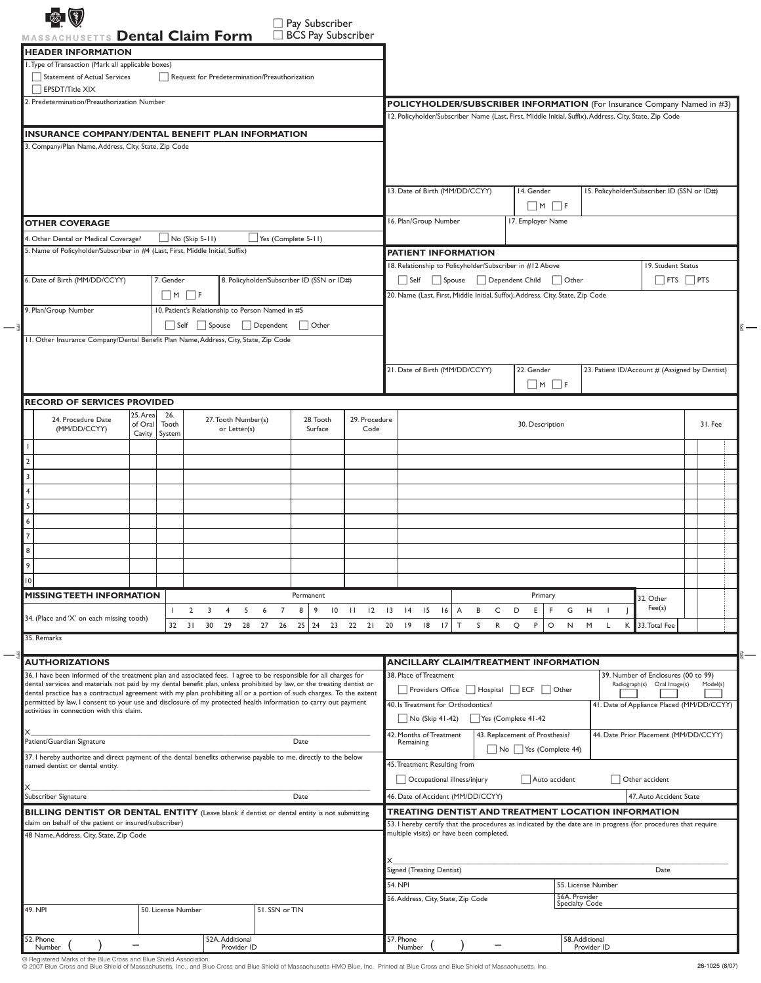|                              | MASSACHUSETTS Dental Claim Form<br><b>HEADER INFORMATION</b>                                                                                                                                                                                |                               |                        |                       |                                     |                                                  | □ BCS Pay Subscriber                       |                               |                                                                                                                     |                     |                                                        |                                                |                                                                    |          |  |
|------------------------------|---------------------------------------------------------------------------------------------------------------------------------------------------------------------------------------------------------------------------------------------|-------------------------------|------------------------|-----------------------|-------------------------------------|--------------------------------------------------|--------------------------------------------|-------------------------------|---------------------------------------------------------------------------------------------------------------------|---------------------|--------------------------------------------------------|------------------------------------------------|--------------------------------------------------------------------|----------|--|
|                              | I. Type of Transaction (Mark all applicable boxes)                                                                                                                                                                                          |                               |                        |                       |                                     |                                                  |                                            |                               |                                                                                                                     |                     |                                                        |                                                |                                                                    |          |  |
|                              | Statement of Actual Services<br>$\Box$ EPSDT/Title XIX                                                                                                                                                                                      |                               |                        |                       |                                     | Request for Predetermination/Preauthorization    |                                            |                               |                                                                                                                     |                     |                                                        |                                                |                                                                    |          |  |
|                              | 2. Predetermination/Preauthorization Number                                                                                                                                                                                                 |                               |                        |                       |                                     |                                                  |                                            |                               | <b>POLICYHOLDER/SUBSCRIBER INFORMATION</b> (For Insurance Company Named in #3)                                      |                     |                                                        |                                                |                                                                    |          |  |
|                              |                                                                                                                                                                                                                                             |                               |                        |                       |                                     |                                                  |                                            |                               | 12. Policyholder/Subscriber Name (Last, First, Middle Initial, Suffix), Address, City, State, Zip Code              |                     |                                                        |                                                |                                                                    |          |  |
|                              | <b>INSURANCE COMPANY/DENTAL BENEFIT PLAN INFORMATION</b>                                                                                                                                                                                    |                               |                        |                       |                                     |                                                  |                                            |                               |                                                                                                                     |                     |                                                        |                                                |                                                                    |          |  |
|                              | 3. Company/Plan Name, Address, City, State, Zip Code                                                                                                                                                                                        |                               |                        |                       |                                     |                                                  |                                            |                               |                                                                                                                     |                     |                                                        |                                                |                                                                    |          |  |
|                              |                                                                                                                                                                                                                                             |                               |                        |                       |                                     |                                                  |                                            |                               |                                                                                                                     |                     |                                                        |                                                |                                                                    |          |  |
|                              |                                                                                                                                                                                                                                             |                               |                        |                       |                                     |                                                  |                                            |                               | 13. Date of Birth (MM/DD/CCYY)                                                                                      |                     | 14. Gender                                             | 15. Policyholder/Subscriber ID (SSN or ID#)    |                                                                    |          |  |
|                              |                                                                                                                                                                                                                                             |                               |                        |                       |                                     |                                                  |                                            |                               |                                                                                                                     |                     | $\Box M$ $\Box F$                                      |                                                |                                                                    |          |  |
|                              | <b>OTHER COVERAGE</b>                                                                                                                                                                                                                       |                               |                        |                       |                                     |                                                  |                                            |                               | 16. Plan/Group Number                                                                                               |                     | 17. Employer Name                                      |                                                |                                                                    |          |  |
|                              | 4. Other Dental or Medical Coverage?                                                                                                                                                                                                        |                               |                        | $\Box$ No (Skip 5-11) |                                     | Yes (Complete 5-11)                              |                                            |                               |                                                                                                                     |                     |                                                        |                                                |                                                                    |          |  |
|                              | 5. Name of Policyholder/Subscriber in #4 (Last, First, Middle Initial, Suffix)                                                                                                                                                              |                               |                        |                       |                                     |                                                  |                                            |                               | <b>PATIENT INFORMATION</b>                                                                                          |                     |                                                        |                                                |                                                                    |          |  |
|                              |                                                                                                                                                                                                                                             |                               |                        |                       |                                     |                                                  |                                            |                               | 18. Relationship to Policyholder/Subscriber in #12 Above                                                            |                     |                                                        |                                                | 19. Student Status                                                 |          |  |
|                              | 6. Date of Birth (MM/DD/CCYY)                                                                                                                                                                                                               |                               | 7. Gender              | $\Box$ m $\Box$ f     |                                     |                                                  | 8. Policyholder/Subscriber ID (SSN or ID#) |                               | Self Spouse Dependent Child Other<br>20. Name (Last, First, Middle Initial, Suffix), Address, City, State, Zip Code |                     |                                                        |                                                | $\Box$ FTS $\Box$ PTS                                              |          |  |
|                              | 9. Plan/Group Number                                                                                                                                                                                                                        |                               |                        |                       |                                     | 10. Patient's Relationship to Person Named in #5 |                                            |                               |                                                                                                                     |                     |                                                        |                                                |                                                                    |          |  |
|                              |                                                                                                                                                                                                                                             |                               |                        |                       |                                     |                                                  | Self Spouse Dependent Other                |                               |                                                                                                                     |                     |                                                        |                                                |                                                                    |          |  |
|                              | 11. Other Insurance Company/Dental Benefit Plan Name, Address, City, State, Zip Code                                                                                                                                                        |                               |                        |                       |                                     |                                                  |                                            |                               |                                                                                                                     |                     |                                                        |                                                |                                                                    |          |  |
|                              |                                                                                                                                                                                                                                             |                               |                        |                       |                                     |                                                  |                                            |                               |                                                                                                                     |                     |                                                        |                                                |                                                                    |          |  |
|                              |                                                                                                                                                                                                                                             |                               |                        |                       |                                     |                                                  |                                            |                               | 21. Date of Birth (MM/DD/CCYY)                                                                                      |                     | 22. Gender                                             | 23. Patient ID/Account # (Assigned by Dentist) |                                                                    |          |  |
|                              |                                                                                                                                                                                                                                             |                               |                        |                       |                                     |                                                  |                                            |                               |                                                                                                                     |                     | $\Box$ M $\Box$ F                                      |                                                |                                                                    |          |  |
|                              | <b>RECORD OF SERVICES PROVIDED</b>                                                                                                                                                                                                          |                               |                        |                       |                                     |                                                  |                                            |                               |                                                                                                                     |                     |                                                        |                                                |                                                                    |          |  |
|                              | 24. Procedure Date<br>(MM/DD/CCYY)                                                                                                                                                                                                          | 25. Area<br>of Oral<br>Cavity | 26.<br>Tooth<br>System |                       | 27. Tooth Number(s)<br>or Letter(s) |                                                  | 28. Tooth<br>Surface                       | 29. Procedure<br>Code         |                                                                                                                     |                     | 30. Description                                        |                                                |                                                                    | 31. Fee  |  |
|                              |                                                                                                                                                                                                                                             |                               |                        |                       |                                     |                                                  |                                            |                               |                                                                                                                     |                     |                                                        |                                                |                                                                    |          |  |
| $\overline{2}$               |                                                                                                                                                                                                                                             |                               |                        |                       |                                     |                                                  |                                            |                               |                                                                                                                     |                     |                                                        |                                                |                                                                    |          |  |
| $\overline{\mathbf{3}}$      |                                                                                                                                                                                                                                             |                               |                        |                       |                                     |                                                  |                                            |                               |                                                                                                                     |                     |                                                        |                                                |                                                                    |          |  |
| $\overline{4}$               |                                                                                                                                                                                                                                             |                               |                        |                       |                                     |                                                  |                                            |                               |                                                                                                                     |                     |                                                        |                                                |                                                                    |          |  |
| 5                            |                                                                                                                                                                                                                                             |                               |                        |                       |                                     |                                                  |                                            |                               |                                                                                                                     |                     |                                                        |                                                |                                                                    |          |  |
| $\epsilon$<br>$\overline{7}$ |                                                                                                                                                                                                                                             |                               |                        |                       |                                     |                                                  |                                            |                               |                                                                                                                     |                     |                                                        |                                                |                                                                    |          |  |
| 8                            |                                                                                                                                                                                                                                             |                               |                        |                       |                                     |                                                  |                                            |                               |                                                                                                                     |                     |                                                        |                                                |                                                                    |          |  |
| 9                            |                                                                                                                                                                                                                                             |                               |                        |                       |                                     |                                                  |                                            |                               |                                                                                                                     |                     |                                                        |                                                |                                                                    |          |  |
| 10                           |                                                                                                                                                                                                                                             |                               |                        |                       |                                     |                                                  |                                            |                               |                                                                                                                     |                     |                                                        |                                                |                                                                    |          |  |
|                              | <b>MISSING TEETH INFORMATION</b>                                                                                                                                                                                                            |                               |                        |                       |                                     |                                                  | Permanent                                  |                               |                                                                                                                     |                     | Primary                                                |                                                | 32. Other                                                          |          |  |
|                              |                                                                                                                                                                                                                                             |                               |                        | $\overline{2}$<br>3   | 5<br>$\overline{4}$                 | $\overline{7}$<br>6                              | 9<br>$\overline{10}$<br>8                  | 12<br>$\overline{\mathbf{H}}$ | 15<br>$\overline{3}$<br> 4<br>16<br>A                                                                               | C<br>D<br>В         | E.<br>G<br>- F                                         | H<br>- 1                                       | Fee(s)                                                             |          |  |
|                              | 34. (Place and 'X' on each missing tooth)                                                                                                                                                                                                   |                               |                        |                       |                                     | 32 31 30 29 28 27 26                             | 25                                         | 24 23 22 21 20                | 17<br>T<br> 9<br>18                                                                                                 | S<br>R<br>Q         | P<br>$\circ$<br>N                                      | M<br>L.<br>К                                   | 33. Total Fee                                                      |          |  |
|                              | 35. Remarks                                                                                                                                                                                                                                 |                               |                        |                       |                                     |                                                  |                                            |                               |                                                                                                                     |                     |                                                        |                                                |                                                                    |          |  |
|                              | <b>AUTHORIZATIONS</b>                                                                                                                                                                                                                       |                               |                        |                       |                                     |                                                  |                                            |                               | <b>ANCILLARY CLAIM/TREATMENT INFORMATION</b>                                                                        |                     |                                                        |                                                |                                                                    |          |  |
|                              | 36. I have been informed of the treatment plan and associated fees. I agree to be responsible for all charges for<br>dental services and materials not paid by my dental benefit plan, unless prohibited by law, or the treating dentist or |                               |                        |                       |                                     |                                                  |                                            |                               | 38. Place of Treatment                                                                                              |                     |                                                        |                                                | 39. Number of Enclosures (00 to 99)<br>Radiograph(s) Oral Image(s) | Model(s) |  |
|                              | dental practice has a contractual agreement with my plan prohibiting all or a portion of such charges. To the extent                                                                                                                        |                               |                        |                       |                                     |                                                  |                                            |                               | □ Providers Office □ Hospital □ ECF □ Other                                                                         |                     |                                                        |                                                |                                                                    |          |  |
|                              | permitted by law, I consent to your use and disclosure of my protected health information to carry out payment<br>activities in connection with this claim.                                                                                 |                               |                        |                       |                                     |                                                  |                                            |                               | 40. Is Treatment for Orthodontics?                                                                                  |                     |                                                        |                                                | 41. Date of Appliance Placed (MM/DD/CCYY)                          |          |  |
| X                            |                                                                                                                                                                                                                                             |                               |                        |                       |                                     |                                                  |                                            |                               | $\bigcup$ No (Skip 41-42)                                                                                           | Yes (Complete 41-42 |                                                        |                                                |                                                                    |          |  |
|                              | Patient/Guardian Signature                                                                                                                                                                                                                  |                               |                        |                       |                                     |                                                  | Date                                       |                               | 42. Months of Treatment<br>Remaining                                                                                |                     | 43. Replacement of Prosthesis?<br>No Yes (Complete 44) |                                                | 44. Date Prior Placement (MM/DD/CCYY)                              |          |  |
|                              | 37. I hereby authorize and direct payment of the dental benefits otherwise payable to me, directly to the below<br>named dentist or dental entity.                                                                                          |                               |                        |                       |                                     |                                                  |                                            |                               | 45. Treatment Resulting from                                                                                        |                     |                                                        |                                                |                                                                    |          |  |
|                              |                                                                                                                                                                                                                                             |                               |                        |                       |                                     |                                                  |                                            |                               | Occupational illness/injury                                                                                         |                     | Auto accident                                          |                                                | Other accident                                                     |          |  |
| x                            | Subscriber Signature                                                                                                                                                                                                                        |                               |                        |                       |                                     |                                                  | Date                                       |                               | 46. Date of Accident (MM/DD/CCYY)                                                                                   |                     |                                                        |                                                | 47. Auto Accident State                                            |          |  |
|                              | <b>BILLING DENTIST OR DENTAL ENTITY</b> (Leave blank if dentist or dental entity is not submitting                                                                                                                                          |                               |                        |                       |                                     |                                                  |                                            |                               | TREATING DENTIST AND TREATMENT LOCATION INFORMATION                                                                 |                     |                                                        |                                                |                                                                    |          |  |
|                              | claim on behalf of the patient or insured/subscriber)                                                                                                                                                                                       |                               |                        |                       |                                     |                                                  |                                            |                               | 53. I hereby certify that the procedures as indicated by the date are in progress (for procedures that require      |                     |                                                        |                                                |                                                                    |          |  |
|                              | 48 Name, Address, City, State, Zip Code                                                                                                                                                                                                     |                               |                        |                       |                                     |                                                  |                                            |                               | multiple visits) or have been completed.                                                                            |                     |                                                        |                                                |                                                                    |          |  |
|                              |                                                                                                                                                                                                                                             |                               |                        |                       |                                     |                                                  |                                            |                               |                                                                                                                     |                     |                                                        |                                                |                                                                    |          |  |
|                              |                                                                                                                                                                                                                                             |                               |                        |                       |                                     |                                                  |                                            |                               | Signed (Treating Dentist)                                                                                           |                     |                                                        |                                                | Date                                                               |          |  |
|                              |                                                                                                                                                                                                                                             |                               |                        |                       |                                     |                                                  |                                            |                               | <b>54. NPI</b>                                                                                                      |                     |                                                        | 55. License Number                             |                                                                    |          |  |
|                              |                                                                                                                                                                                                                                             |                               |                        |                       |                                     |                                                  |                                            |                               |                                                                                                                     |                     |                                                        |                                                |                                                                    |          |  |
|                              | 49. NPI                                                                                                                                                                                                                                     |                               | 50. License Number     |                       |                                     | 51. SSN or TIN                                   |                                            |                               | 56. Address, City, State, Zip Code                                                                                  |                     |                                                        | 56A. Provider<br><b>Specialty Code</b>         |                                                                    |          |  |

 $\overline{\phantom{a}}$